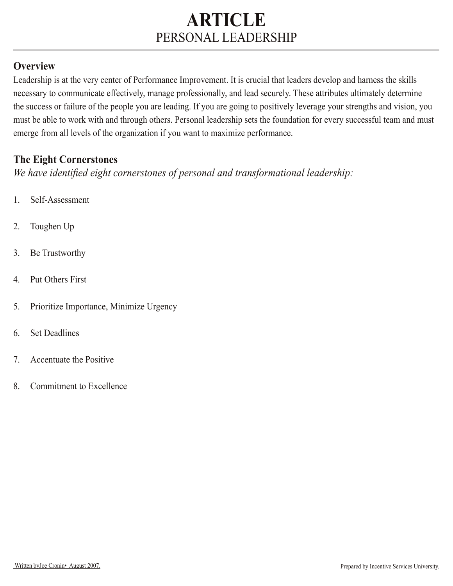### **Overview**

Leadership is at the very center of Performance Improvement. It is crucial that leaders develop and harness the skills necessary to communicate effectively, manage professionally, and lead securely. These attributes ultimately determine the success or failure of the people you are leading. If you are going to positively leverage your strengths and vision, you must be able to work with and through others. Personal leadership sets the foundation for every successful team and must emerge from all levels of the organization if you want to maximize performance.

#### **The Eight Cornerstones**

*We have identified eight cornerstones of personal and transformational leadership:*

- 1. Self-Assessment
- 2. Toughen Up
- 3. Be Trustworthy
- 4. Put Others First
- 5. Prioritize Importance, Minimize Urgency
- 6. Set Deadlines
- 7. Accentuate the Positive
- 8. Commitment to Excellence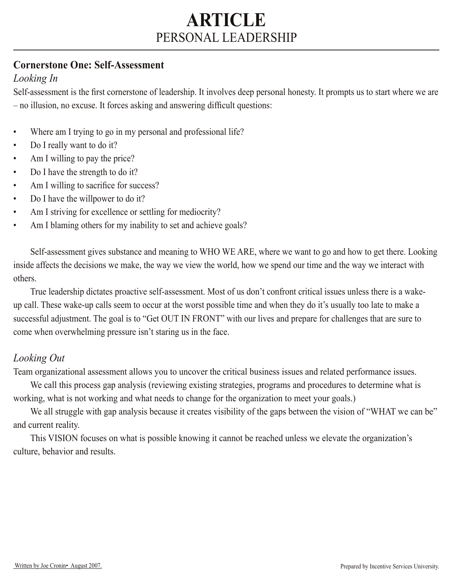#### **Cornerstone One: Self-Assessment**

### *Looking In*

Self-assessment is the first cornerstone of leadership. It involves deep personal honesty. It prompts us to start where we are – no illusion, no excuse. It forces asking and answering difficult questions:

- Where am I trying to go in my personal and professional life?
- Do I really want to do it?
- Am I willing to pay the price?
- Do I have the strength to do it?
- Am I willing to sacrifice for success?
- Do I have the will power to do it?
- Am I striving for excellence or settling for mediocrity?
- Am I blaming others for my inability to set and achieve goals?

 Self-assessment gives substance and meaning to WHO WE ARE, where we want to go and how to get there. Looking inside affects the decisions we make, the way we view the world, how we spend our time and the way we interact with others.

True leadership dictates proactive self-assessment. Most of us don't confront critical issues unless there is a wakeup call. These wake-up calls seem to occur at the worst possible time and when they do it's usually too late to make a successful adjustment. The goal is to "Get OUT IN FRONT" with our lives and prepare for challenges that are sure to come when overwhelming pressure isn't staring us in the face.

### *Looking Out*

Team organizational assessment allows you to uncover the critical business issues and related performance issues.

We call this process gap analysis (reviewing existing strategies, programs and procedures to determine what is working, what is not working and what needs to change for the organization to meet your goals.)

We all struggle with gap analysis because it creates visibility of the gaps between the vision of "WHAT we can be" and current reality.

This VISION focuses on what is possible knowing it cannot be reached unless we elevate the organization's culture, behavior and results.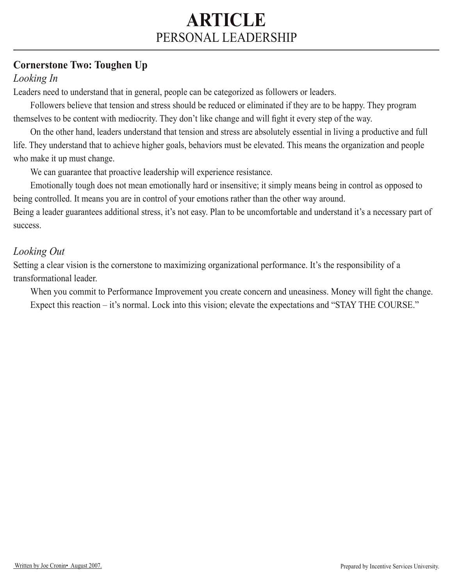## **Cornerstone Two: Toughen Up**

### *Looking In*

Leaders need to understand that in general, people can be categorized as followers or leaders.

Followers believe that tension and stress should be reduced or eliminated if they are to be happy. They program themselves to be content with mediocrity. They don't like change and will fight it every step of the way.

 On the other hand, leaders understand that tension and stress are absolutely essential in living a productive and full life. They understand that to achieve higher goals, behaviors must be elevated. This means the organization and people who make it up must change.

We can guarantee that proactive leadership will experience resistance.

 Emotionally tough does not mean emotionally hard or insensitive; it simply means being in control as opposed to being controlled. It means you are in control of your emotions rather than the other way around.

Being a leader guarantees additional stress, it's not easy. Plan to be uncomfortable and understand it's a necessary part of success.

## *Looking Out*

Setting a clear vision is the cornerstone to maximizing organizational performance. It's the responsibility of a transformational leader.

When you commit to Performance Improvement you create concern and uneasiness. Money will fight the change. Expect this reaction – it's normal. Lock into this vision; elevate the expectations and "STAY THE COURSE."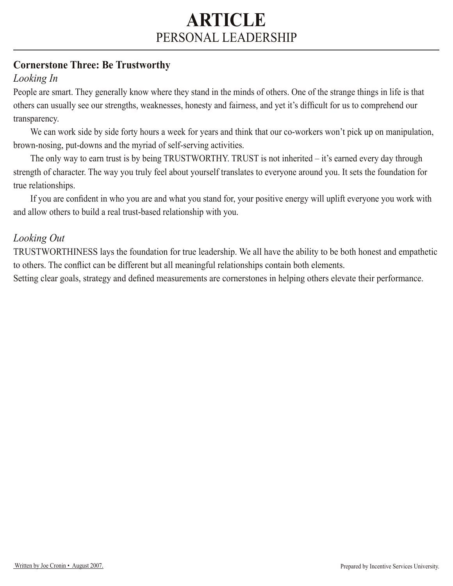## **Cornerstone Three: Be Trustworthy**

## *Looking In*

People are smart. They generally know where they stand in the minds of others. One of the strange things in life is that others can usually see our strengths, weaknesses, honesty and fairness, and yet it's difficult for us to comprehend our transparency.

We can work side by side forty hours a week for years and think that our co-workers won't pick up on manipulation, brown-nosing, put-downs and the myriad of self-serving activities.

The only way to earn trust is by being TRUSTWORTHY. TRUST is not inherited – it's earned every day through strength of character. The way you truly feel about yourself translates to everyone around you. It sets the foundation for true relationships.

If you are confident in who you are and what you stand for, your positive energy will uplift everyone you work with and allow others to build a real trust-based relationship with you.

### *Looking Out*

TRUSTWORTHINESS lays the foundation for true leadership. We all have the ability to be both honest and empathetic to others. The conflict can be different but all meaningful relationships contain both elements.

Setting clear goals, strategy and defined measurements are cornerstones in helping others elevate their performance.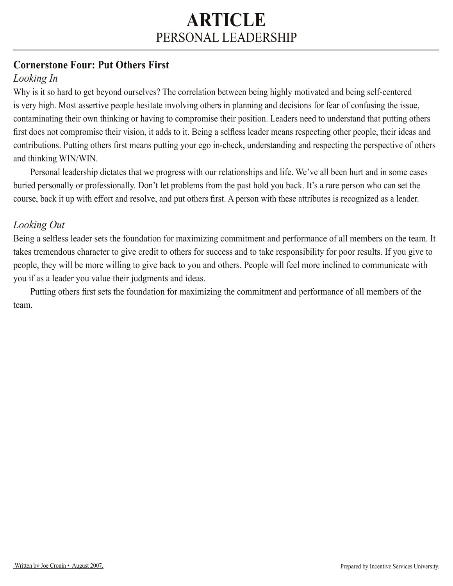## **Cornerstone Four: Put Others First**

## *Looking In*

Why is it so hard to get beyond ourselves? The correlation between being highly motivated and being self-centered is very high. Most assertive people hesitate involving others in planning and decisions for fear of confusing the issue, contaminating their own thinking or having to compromise their position. Leaders need to understand that putting others first does not compromise their vision, it adds to it. Being a selfless leader means respecting other people, their ideas and contributions. Putting others first means putting your ego in-check, understanding and respecting the perspective of others and thinking WIN/WIN.

Personal leadership dictates that we progress with our relationships and life. We've all been hurt and in some cases buried personally or professionally. Don't let problems from the past hold you back. It's a rare person who can set the course, back it up with effort and resolve, and put others first. A person with these attributes is recognized as a leader.

#### *Looking Out*

Being a selfless leader sets the foundation for maximizing commitment and performance of all members on the team. It takes tremendous character to give credit to others for success and to take responsibility for poor results. If you give to people, they will be more willing to give back to you and others. People will feel more inclined to communicate with you if as a leader you value their judgments and ideas.

Putting others first sets the foundation for maximizing the commitment and performance of all members of the team.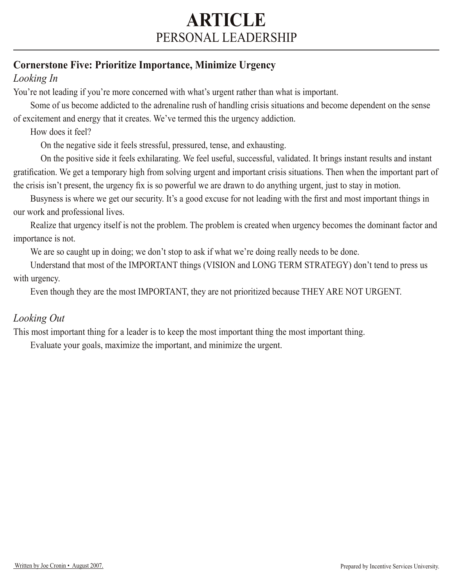## **Cornerstone Five: Prioritize Importance, Minimize Urgency**

### *Looking In*

You're not leading if you're more concerned with what's urgent rather than what is important.

 Some of us become addicted to the adrenaline rush of handling crisis situations and become dependent on the sense of excitement and energy that it creates. We've termed this the urgency addiction.

How does it feel?

On the negative side it feels stressful, pressured, tense, and exhausting.

 On the positive side it feels exhilarating. We feel useful, successful, validated. It brings instant results and instant gratification. We get a temporary high from solving urgent and important crisis situations. Then when the important part of the crisis isn't present, the urgency fix is so powerful we are drawn to do anything urgent, just to stay in motion.

Busyness is where we get our security. It's a good excuse for not leading with the first and most important things in our work and professional lives.

 Realize that urgency itself is not the problem. The problem is created when urgency becomes the dominant factor and importance is not.

We are so caught up in doing; we don't stop to ask if what we're doing really needs to be done.

Understand that most of the IMPORTANT things (VISION and LONG TERM STRATEGY) don't tend to press us with urgency.

Even though they are the most IMPORTANT, they are not prioritized because THEY ARE NOT URGENT.

### *Looking Out*

This most important thing for a leader is to keep the most important thing the most important thing.

Evaluate your goals, maximize the important, and minimize the urgent.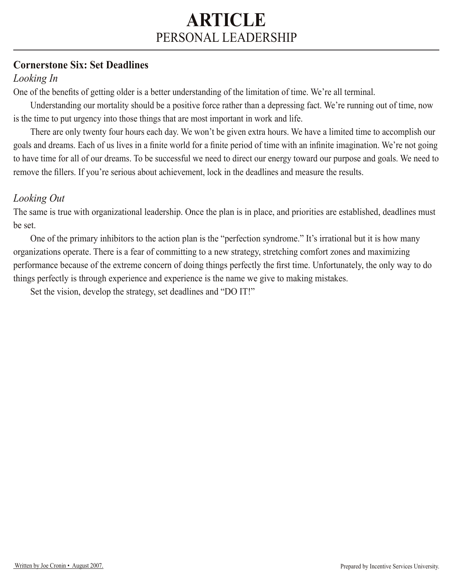#### **Cornerstone Six: Set Deadlines**

### *Looking In*

One of the benefits of getting older is a better understanding of the limitation of time. We're all terminal.

Understanding our mortality should be a positive force rather than a depressing fact. We're running out of time, now is the time to put urgency into those things that are most important in work and life.

There are only twenty four hours each day. We won't be given extra hours. We have a limited time to accomplish our goals and dreams. Each of us lives in a finite world for a finite period of time with an infinite imagination. We're not going to have time for all of our dreams. To be successful we need to direct our energy toward our purpose and goals. We need to remove the fillers. If you're serious about achievement, lock in the deadlines and measure the results.

### *Looking Out*

The same is true with organizational leadership. Once the plan is in place, and priorities are established, deadlines must be set.

 One of the primary inhibitors to the action plan is the "perfection syndrome." It's irrational but it is how many organizations operate. There is a fear of committing to a new strategy, stretching comfort zones and maximizing performance because of the extreme concern of doing things perfectly the first time. Unfortunately, the only way to do things perfectly is through experience and experience is the name we give to making mistakes.

Set the vision, develop the strategy, set deadlines and "DO IT!"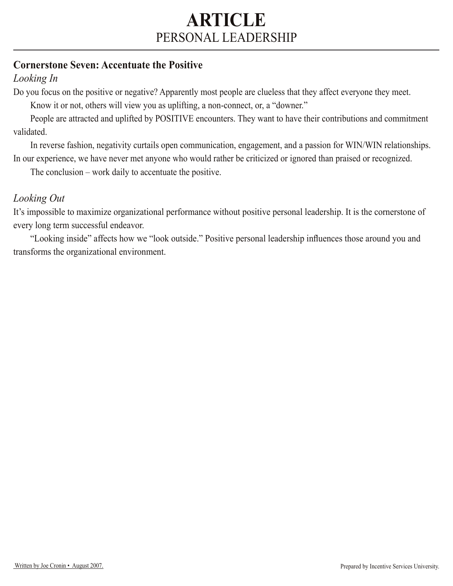#### **Cornerstone Seven: Accentuate the Positive**

### *Looking In*

Do you focus on the positive or negative? Apparently most people are clueless that they affect everyone they meet.

Know it or not, others will view you as uplifting, a non-connect, or, a "downer."

People are attracted and uplifted by POSITIVE encounters. They want to have their contributions and commitment validated.

 In reverse fashion, negativity curtails open communication, engagement, and a passion for WIN/WIN relationships. In our experience, we have never met anyone who would rather be criticized or ignored than praised or recognized.

The conclusion – work daily to accentuate the positive.

#### *Looking Out*

It's impossible to maximize organizational performance without positive personal leadership. It is the cornerstone of every long term successful endeavor.

"Looking inside" affects how we "look outside." Positive personal leadership influences those around you and transforms the organizational environment.